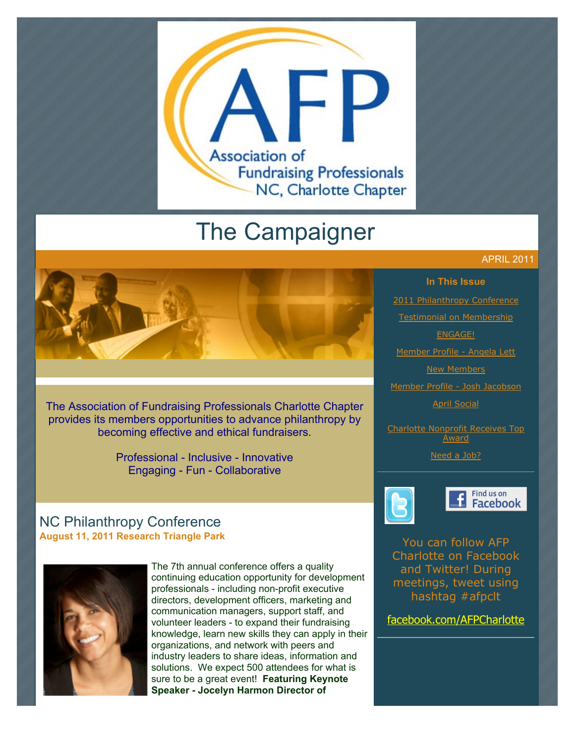

# The Campaigner

# APRIL 2011



[2011 Philanthropy Conference](http://archive.constantcontact.com/fs051/1101610725496/archive/1104806148689.html#LETTER.BLOCK9) [Testimonial on Membership](http://archive.constantcontact.com/fs051/1101610725496/archive/1104806148689.html#LETTER.BLOCK26) [ENGAGE!](http://archive.constantcontact.com/fs051/1101610725496/archive/1104806148689.html#LETTER.BLOCK25)

[Member Profile - Angela Lett](http://archive.constantcontact.com/fs051/1101610725496/archive/1104806148689.html#LETTER.BLOCK27)

**[New Members](http://archive.constantcontact.com/fs051/1101610725496/archive/1104806148689.html#LETTER.BLOCK11)** 

[Member Profile - Josh Jacobson](http://archive.constantcontact.com/fs051/1101610725496/archive/1104806148689.html#LETTER.BLOCK28)

[April Social](http://archive.constantcontact.com/fs051/1101610725496/archive/1104806148689.html#LETTER.BLOCK24)

[Charlotte Nonprofit Receives Top](http://archive.constantcontact.com/fs051/1101610725496/archive/1104806148689.html#LETTER.BLOCK30) Award

[Need a Job?](http://archive.constantcontact.com/fs051/1101610725496/archive/1104806148689.html#LETTER.BLOCK40)



#### Find us on **Facebook**

You can follow AFP Charlotte on Facebook and Twitter! During meetings, tweet using hashtag #afpclt

[facebook.com/AFPCharlotte](http://www.facebook.com/AFPCharlotte)

The Association of Fundraising Professionals Charlotte Chapter provides its members opportunities to advance philanthropy by becoming effective and ethical fundraisers.

> Professional - Inclusive - Innovative Engaging - Fun - Collaborative

# NC Philanthropy Conference **August 11, 2011 Research Triangle Park**



The 7th annual conference offers a quality continuing education opportunity for development professionals - including non-profit executive directors, development officers, marketing and communication managers, support staff, and volunteer leaders - to expand their fundraising knowledge, learn new skills they can apply in their organizations, and network with peers and industry leaders to share ideas, information and solutions. We expect 500 attendees for what is sure to be a great event! **Featuring Keynote Speaker - Jocelyn Harmon Director of**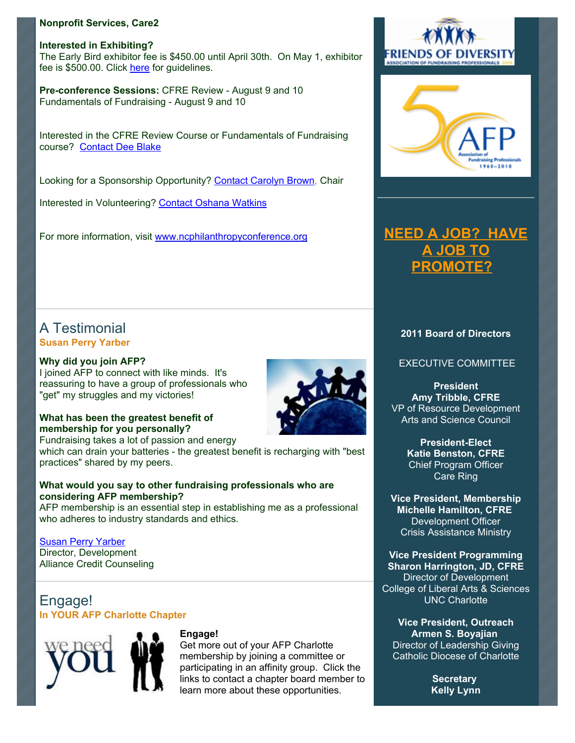#### **Nonprofit Services, Care2**

**Interested in Exhibiting?**  The Early Bird exhibitor fee is \$450.00 until April 30th. On May 1, exhibitor fee is \$500.00. Click [here](http://ncphilanthropyconference.org/resourcepartners.html) for guidelines.

**Pre-conference Sessions:** CFRE Review - August 9 and 10 Fundamentals of Fundraising - August 9 and 10

Interested in the CFRE Review Course or Fundamentals of Fundraising course? [Contact Dee Blake](mailto:dee.blake@duke.edu)

Looking for a Sponsorship Opportunity? [Contact Carolyn Brown,](mailto:chbrown@barton.edu) Chair

Interested in Volunteering? [Contact Oshana Watkins](mailto:oshana_watkins@yahoo.com)

For more information, visit [www.ncphilanthropyconference.org](http://www.ncphilanthropyconference.org/)

# A Testimonial **Susan Perry Yarber**

#### **Why did you join AFP?**

I joined AFP to connect with like minds. It's reassuring to have a group of professionals who "get" my struggles and my victories!

#### **What has been the greatest benefit of membership for you personally?**

Fundraising takes a lot of passion and energy

which can drain your batteries - the greatest benefit is recharging with "best practices" shared by my peers.

#### **What would you say to other fundraising professionals who are considering AFP membership?**

AFP membership is an essential step in establishing me as a professional who adheres to industry standards and ethics.

#### [Susan Perry Yarber](mailto:susan@knowdebt.org)

Director, Development Alliance Credit Counseling

# Engage! **In YOUR AFP Charlotte Chapter**



#### **Engage!**

Get more out of your AFP Charlotte membership by joining a committee or participating in an affinity group. Click the links to contact a chapter board member to learn more about these opportunities.





# **[NEED A JOB? HAVE](http://www.afp-charlotte.org/executivereferrals.html) A JOB TO PROMOTE?**

#### **2011 Board of Directors**

EXECUTIVE COMMITTEE

**President Amy Tribble, CFRE** VP of Resource Development Arts and Science Council

> **President-Elect Katie Benston, CFRE** Chief Program Officer Care Ring

**Vice President, Membership Michelle Hamilton, CFRE** Development Officer Crisis Assistance Ministry

**Vice President Programming Sharon Harrington, JD, CFRE** Director of Development College of Liberal Arts & Sciences UNC Charlotte

**Vice President, Outreach Armen S. Boyajian** Director of Leadership Giving Catholic Diocese of Charlotte

> **Secretary Kelly Lynn**

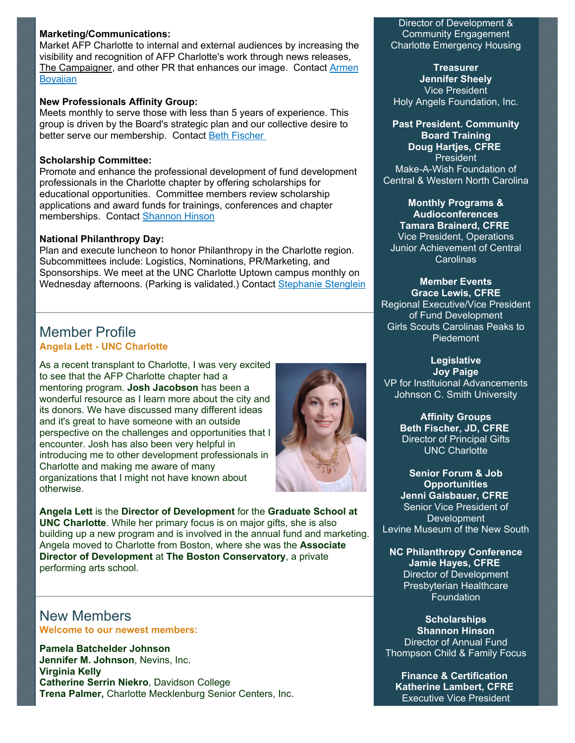#### **Marketing/Communications:**

Market AFP Charlotte to internal and external audiences by increasing the visibility and recognition of AFP Charlotte's work through news releases, [The Campaigner, and other PR that enhances our image. Contact Armen](mailto:asboyajian@charlottediocese.org) **Bovajian** 

#### **New Professionals Affinity Group:**

Meets monthly to serve those with less than 5 years of experience. This group is driven by the Board's strategic plan and our collective desire to better serve our membership. Contact Beth Fischer

#### **Scholarship Committee:**

Promote and enhance the professional development of fund development professionals in the Charlotte chapter by offering scholarships for educational opportunities. Committee members review scholarship applications and award funds for trainings, conferences and chapter memberships. Contact [Shannon Hinson](mailto:Shinson@thompsoncff.org)

#### **National Philanthropy Day:**

Plan and execute luncheon to honor Philanthropy in the Charlotte region. Subcommittees include: Logistics, Nominations, PR/Marketing, and Sponsorships. We meet at the UNC Charlotte Uptown campus monthly on Wednesday afternoons. (Parking is validated.) Contact [Stephanie Stenglein](mailto:StephanieS@charlottesymphony.org)

### Member Profile **Angela Lett - UNC Charlotte**

As a recent transplant to Charlotte, I was very excited to see that the AFP Charlotte chapter had a mentoring program. **Josh Jacobson** has been a wonderful resource as I learn more about the city and its donors. We have discussed many different ideas and it's great to have someone with an outside perspective on the challenges and opportunities that I encounter. Josh has also been very helpful in introducing me to other development professionals in Charlotte and making me aware of many organizations that I might not have known about otherwise.



**Angela Lett** is the **Director of Development** for the **Graduate School at UNC Charlotte**. While her primary focus is on major gifts, she is also building up a new program and is involved in the annual fund and marketing. Angela moved to Charlotte from Boston, where she was the **Associate Director of Development** at **The Boston Conservatory**, a private performing arts school.

New Members **Welcome to our newest members:** 

**Pamela Batchelder Johnson Jennifer M. Johnson**, Nevins, Inc. **Virginia Kelly Catherine Serrin Niekro**, Davidson College **Trena Palmer,** Charlotte Mecklenburg Senior Centers, Inc.

#### Director of Development & Community Engagement Charlotte Emergency Housing

**Treasurer Jennifer Sheely** Vice President Holy Angels Foundation, Inc.

**Past President. Community Board Training Doug Hartjes, CFRE** President Make-A-Wish Foundation of

Central & Western North Carolina

**Monthly Programs & Audioconferences Tamara Brainerd, CFRE** Vice President, Operations Junior Achievement of Central Carolinas

**Member Events**

**Grace Lewis, CFRE** Regional Executive/Vice President of Fund Development Girls Scouts Carolinas Peaks to Piedemont

**Legislative Joy Paige** VP for Instituional Advancements Johnson C. Smith University

> **Affinity Groups Beth Fischer, JD, CFRE** Director of Principal Gifts UNC Charlotte

**Senior Forum & Job Opportunities Jenni Gaisbauer, CFRE** Senior Vice President of Development Levine Museum of the New South

**NC Philanthropy Conference Jamie Hayes, CFRE** Director of Development Presbyterian Healthcare Foundation

**Scholarships Shannon Hinson** Director of Annual Fund Thompson Child & Family Focus

**Finance & Certification Katherine Lambert, CFRE** Executive Vice President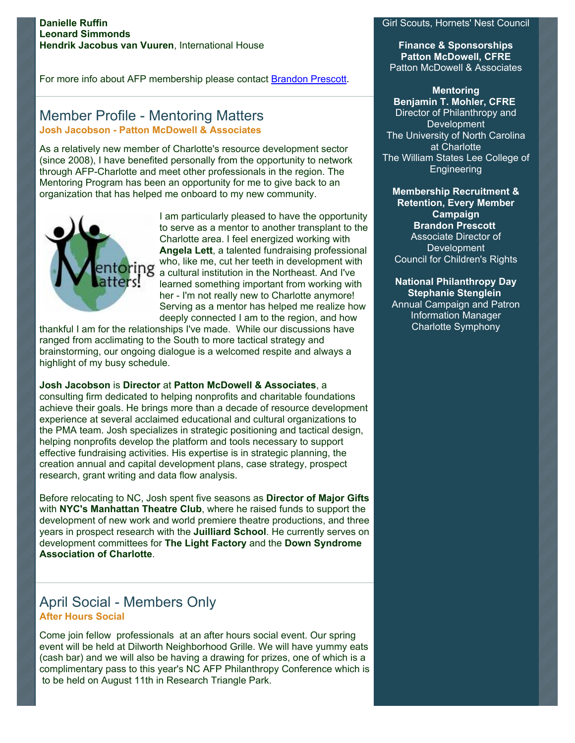#### **Danielle Ruffin Leonard Simmonds Hendrik Jacobus van Vuuren**, International House

For more info about AFP membership please contact [Brandon Prescott](mailto:brandon@cfcrights.org).

## Member Profile - Mentoring Matters **Josh Jacobson - Patton McDowell & Associates**

As a relatively new member of Charlotte's resource development sector (since 2008), I have benefited personally from the opportunity to network through AFP-Charlotte and meet other professionals in the region. The Mentoring Program has been an opportunity for me to give back to an organization that has helped me onboard to my new community.



I am particularly pleased to have the opportunity to serve as a mentor to another transplant to the Charlotte area. I feel energized working with **Angela Lett**, a talented fundraising professional who, like me, cut her teeth in development with a cultural institution in the Northeast. And I've learned something important from working with her - I'm not really new to Charlotte anymore! Serving as a mentor has helped me realize how deeply connected I am to the region, and how

thankful I am for the relationships I've made. While our discussions have ranged from acclimating to the South to more tactical strategy and brainstorming, our ongoing dialogue is a welcomed respite and always a highlight of my busy schedule.

**Josh Jacobson** is **Director** at **Patton McDowell & Associates**, a consulting firm dedicated to helping nonprofits and charitable foundations achieve their goals. He brings more than a decade of resource development experience at several acclaimed educational and cultural organizations to the PMA team. Josh specializes in strategic positioning and tactical design, helping nonprofits develop the platform and tools necessary to support effective fundraising activities. His expertise is in strategic planning, the creation annual and capital development plans, case strategy, prospect research, grant writing and data flow analysis.

Before relocating to NC, Josh spent five seasons as **Director of Major Gifts** with **NYC's Manhattan Theatre Club**, where he raised funds to support the development of new work and world premiere theatre productions, and three years in prospect research with the **Juilliard School**. He currently serves on development committees for **The Light Factory** and the **Down Syndrome Association of Charlotte**.

# April Social - Members Only **After Hours Social**

Come join fellow professionals at an after hours social event. Our spring event will be held at Dilworth Neighborhood Grille. We will have yummy eats (cash bar) and we will also be having a drawing for prizes, one of which is a complimentary pass to this year's NC AFP Philanthropy Conference which is to be held on August 11th in Research Triangle Park.

#### Girl Scouts, Hornets' Nest Council

**Finance & Sponsorships Patton McDowell, CFRE** Patton McDowell & Associates

**Mentoring**

**Benjamin T. Mohler, CFRE** Director of Philanthropy and **Development** The University of North Carolina at Charlotte The William States Lee College of **Engineering** 

**Membership Recruitment & Retention, Every Member Campaign Brandon Prescott** Associate Director of Development Council for Children's Rights

**National Philanthropy Day Stephanie Stenglein** Annual Campaign and Patron Information Manager Charlotte Symphony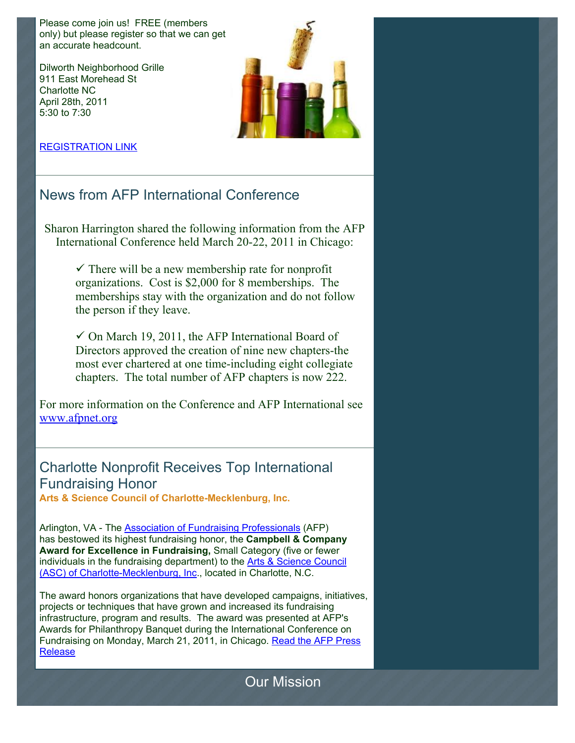Please come join us! FREE (members only) but please register so that we can get an accurate headcount.

Dilworth Neighborhood Grille 911 East Morehead St Charlotte NC April 28th, 2011 5:30 to 7:30



#### [REGISTRATION LINK](http://www.afp-charlotte.org/rsvp_details.html?id=3035)

# News from AFP International Conference

Sharon Harrington shared the following information from the AFP International Conference held March 20-22, 2011 in Chicago:

 $\checkmark$  There will be a new membership rate for nonprofit organizations. Cost is \$2,000 for 8 memberships. The memberships stay with the organization and do not follow the person if they leave.

 $\checkmark$  On March 19, 2011, the AFP International Board of Directors approved the creation of nine new chapters-the most ever chartered at one time-including eight collegiate chapters. The total number of AFP chapters is now 222.

For more information on the Conference and AFP International see [www.afpnet.org](http://www.afpnet.org/)

# Charlotte Nonprofit Receives Top International Fundraising Honor

**Arts & Science Council of Charlotte-Mecklenburg, Inc.**

Arlington, VA - The [Association of Fundraising Professionals](http://www.afpnet.org/) (AFP) has bestowed its highest fundraising honor, the **Campbell & Company Award for Excellence in Fundraising,** Small Category (five or fewer [individuals in the fundraising department\) to the Arts & Science Council](http://www.artsandscience.org/) (ASC) of Charlotte-Mecklenburg, Inc., located in Charlotte, N.C.

The award honors organizations that have developed campaigns, initiatives, projects or techniques that have grown and increased its fundraising infrastructure, program and results. The award was presented at AFP's Awards for Philanthropy Banquet during the International Conference on [Fundraising on Monday, March 21, 2011, in Chicago. Read the AFP Press](http://www.afp-charlotte.org/customers/102012921065393/filemanager/ASC_AFP_AWARD.pdf) Release